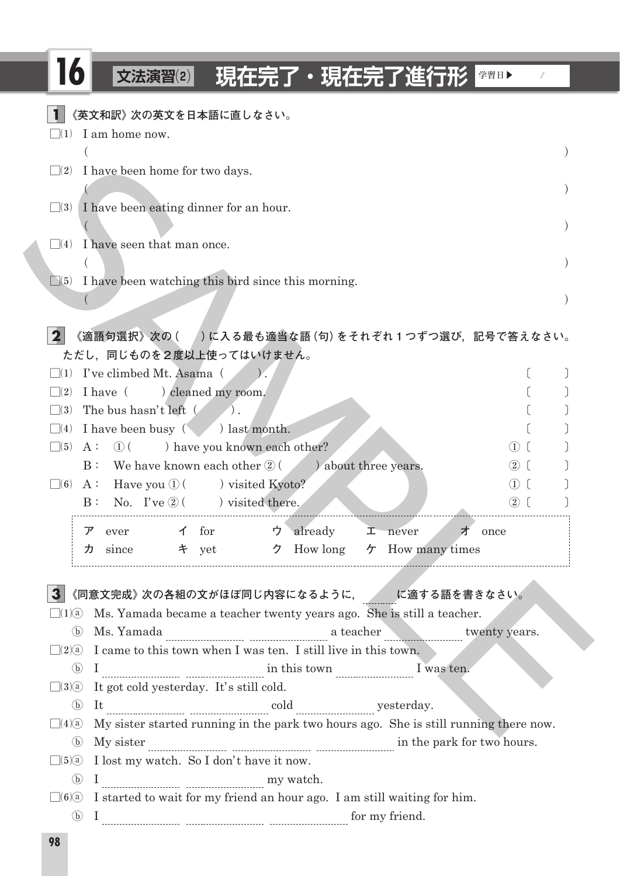## □**<sup>16</sup> 文法演習⑵ 現在完了・現在完了進行形 |学習日▶ /**

□**<sup>1</sup> 《英文和訳》次の英文を日本語に直しなさい。**  $\square(1)$  I am home now.  $($  )  $\square(2)$  I have been home for two days.  $\left($  $\Box(3)$  I have been eating dinner for an hour. ( ) and ( ) and ( ) and ( ) and ( ) and ( ) becomes the contract of  $\mathcal{O}(n)$  $\Box(4)$  I have seen that man once.  $\left(\begin{array}{ccc} 1 & 1 \ 1 & 1 \end{array}\right)$  $\Box$  1 have been watching this bird since this morning.  $\left($ **2 | 《適語句選択》次の ( )に入る最も適当な語 (句) をそれぞれ 1 つずつ選び,記号で答えなさい。 ただし,同じものを2度以上使ってはいけません。**  $\Box(1)$  I've climbed Mt. Asama  $($   $)$ .  $($  $\Box(2)$  I have ( ) cleaned my room. ( )  $\Box(3)$  The bus hasn't left  $( )$ .  $\square$ (4) I have been busy  $\swarrow$  ) last month.  $\square$  (5) A:  $\square$  (1) have you known each other?  $\square$  (1) ( B: We have known each other  $(2)$  (b) about three years.  $(2)$  [  $\square$ (6) A: Have you  $\square$  ( ) visited Kyoto?  $\square$  ( ) (  $B: No. I've  $\mathcal{D}$  ( ) visited there.$ **ア** ever **イ** for **ウ** already **エ** never **オ** once **カ** since **キ** yet **ク** How long **ケ** How many times □**<sup>3</sup> 《同意文完成》次の各組の文がほぼ同じ内容になるように, に適する語を書きなさい。**  $\square(1)$  Ms. Yamada became a teacher twenty years ago. She is still a teacher. ⓑ Ms. Yamada a teacher twenty years.  $\Box(2)$  I came to this town when I was ten. I still live in this town.  $\odot$  I  $\cdots$  I was ten.  $\square(3)$  It got cold yesterday. It's still cold. ⓑ It cold yesterday.  $\Box(4)$  My sister started running in the park two hours ago. She is still running there now.  $\odot$  My sister  $\frac{1}{2}$  My sister  $\frac{1}{2}$   $\frac{1}{2}$   $\frac{1}{2}$   $\frac{1}{2}$   $\frac{1}{2}$   $\frac{1}{2}$   $\frac{1}{2}$   $\frac{1}{2}$   $\frac{1}{2}$   $\frac{1}{2}$   $\frac{1}{2}$   $\frac{1}{2}$   $\frac{1}{2}$   $\frac{1}{2}$   $\frac{1}{2}$   $\frac{1}{2}$   $\frac{1}{2}$   $\frac{1}{2}$   $\frac{1$  $\Box(5)$  I lost my watch. So I don't have it now.  $\textcircled{b} \quad I_{\_{}^{} \text{}}\quad \ \ \text{}}\quad \text{m} \text{y watch.}$  $\square(6)$  I started to wait for my friend an hour ago. I am still waiting for him. ⓑ I for my friend. 22. There been home for two days.<br>
SAMPLE Control in the control of this meaning that is a such a strength of the material of the control of the strength of the strength of the strength of the strength of the strength of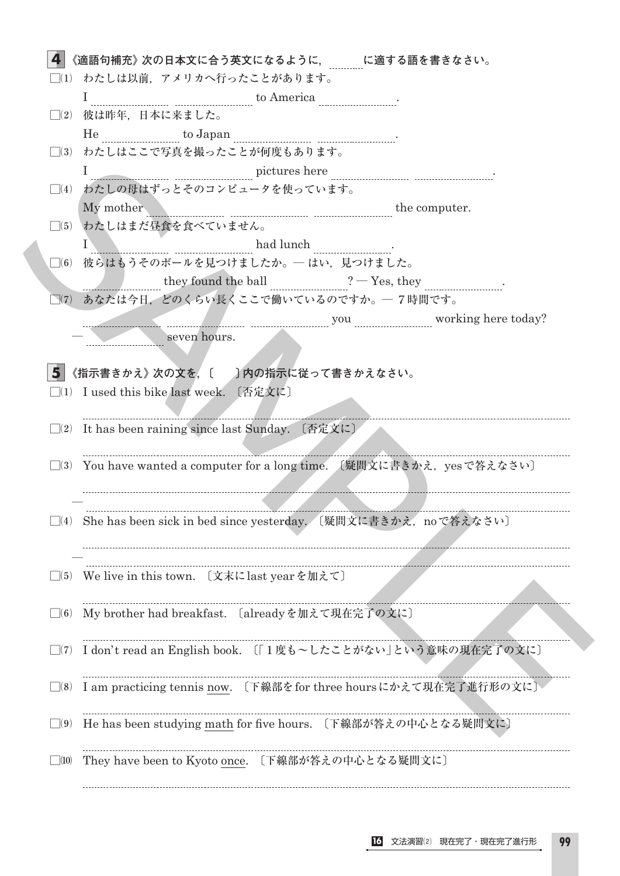| 《適語句補充》次の日本文に合う英文になるように, に適する語を書きなさい。 | □(1) わたしは以前,アメリカへ行ったことがあります。                                                                                                                                                                                                                                                                                |
|---------------------------------------|-------------------------------------------------------------------------------------------------------------------------------------------------------------------------------------------------------------------------------------------------------------------------------------------------------------|
|                                       |                                                                                                                                                                                                                                                                                                             |
|                                       | $\Box$ (2) 彼は昨年,日本に来ました。                                                                                                                                                                                                                                                                                    |
|                                       |                                                                                                                                                                                                                                                                                                             |
|                                       | □(3) わたしはここで写真を撮ったことが何度もあります。                                                                                                                                                                                                                                                                               |
|                                       |                                                                                                                                                                                                                                                                                                             |
|                                       | □(4) わたしの母はずっとそのコンピュータを使っています。                                                                                                                                                                                                                                                                              |
|                                       | My mother <u>music computer</u> computer.                                                                                                                                                                                                                                                                   |
|                                       | □(5) わたしはまだ昼食を食べていません。                                                                                                                                                                                                                                                                                      |
|                                       | $\frac{1}{2}$ had lunch $\frac{1}{2}$ had lunch $\frac{1}{2}$                                                                                                                                                                                                                                               |
|                                       | □⑹ 彼らはもうそのボールを見つけましたか。── はい,見つけました。                                                                                                                                                                                                                                                                         |
|                                       | $\frac{1}{2}$ they found the ball $\frac{1}{2}$ $\frac{1}{2}$ $\frac{1}{2}$ $\frac{1}{2}$ $\frac{1}{2}$ $\frac{1}{2}$ $\frac{1}{2}$ $\frac{1}{2}$ $\frac{1}{2}$ $\frac{1}{2}$ $\frac{1}{2}$ $\frac{1}{2}$ $\frac{1}{2}$ $\frac{1}{2}$ $\frac{1}{2}$ $\frac{1}{2}$ $\frac{1}{2}$ $\frac{1}{2}$ $\frac{1}{2}$ |
|                                       | □(7) あなたは今日、どのくらい長くここで働いているのですか。─ 7時間です。                                                                                                                                                                                                                                                                    |
|                                       | you working here today?                                                                                                                                                                                                                                                                                     |
|                                       | seven hours.                                                                                                                                                                                                                                                                                                |
|                                       | 《指示書きかえ》次の文を、〔 】内の指示に従って書きかえなさい。<br>$\Box$ (1) I used this bike last week. 〔否定文に〕<br>$\square$ (2) It has been raining since last Sunday. 〔否定文に〕                                                                                                                                                            |
|                                       | □⑶ You have wanted a computer for a long time. (疑問文に書きかえ,yesで答えなさい〕                                                                                                                                                                                                                                         |
| 5.                                    |                                                                                                                                                                                                                                                                                                             |
|                                       |                                                                                                                                                                                                                                                                                                             |
|                                       | ](4) She has been sick in bed since yesterday. 〔疑問文に書きかえ,noで答えなさい〕                                                                                                                                                                                                                                          |
|                                       | □(5) We live in this town. 〔文末にlast yearを加えて〕                                                                                                                                                                                                                                                               |
|                                       | My brother had breakfast. 〔already を加えて現在完了の文に〕                                                                                                                                                                                                                                                             |
| $\Box(6)$<br>$\Box(7)$                | I don't read an English book. 〔「1度も~したことがない」という意味の現在完了の文に〕                                                                                                                                                                                                                                                  |
| $\Box(8)$                             | I am practicing tennis now. 〔下線部をfor three hoursにかえて現在完了進行形の文に〕                                                                                                                                                                                                                                             |
| $\Box(9)$                             | He has been studying math for five hours. 〔下線部が答えの中心となる疑問文に〕                                                                                                                                                                                                                                                |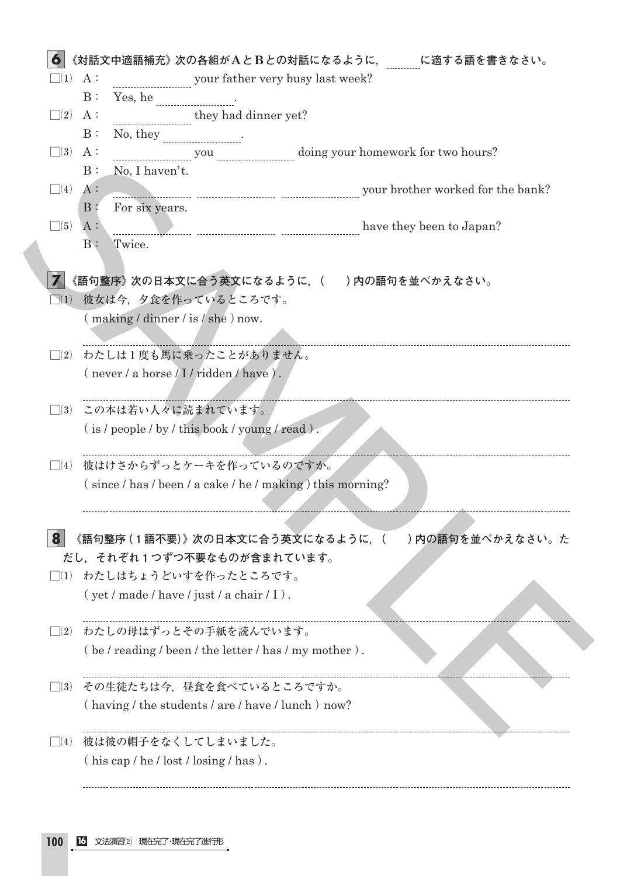| $\Box(1)$ A:          | 《対話文中適語補充》次の各組がAとBとの対話になるように, に適する語を書きなさい。<br>www.com/watch?headlends.com/watch?headlends.com/watch?headlends?headlends?headlends?headlends?headlends?headle |
|-----------------------|--------------------------------------------------------------------------------------------------------------------------------------------------------------|
|                       | B:<br>Yes, he                                                                                                                                                |
| $\Box(2)$             | they had dinner yet?<br>A :                                                                                                                                  |
|                       | B:<br>No, they                                                                                                                                               |
| $\Box(3)$ A:          |                                                                                                                                                              |
|                       | you will be doing your homework for two hours?<br>$B$ :<br>No, I haven't.                                                                                    |
| $\Box(4)$             | your brother worked for the bank?<br>$A$ :                                                                                                                   |
|                       | For six years.<br>$\mathbf{B}$ :                                                                                                                             |
| $\Box(5)$             | A:<br>have they been to Japan?                                                                                                                               |
|                       | $B$ :<br>Twice.                                                                                                                                              |
|                       |                                                                                                                                                              |
|                       | 《語句整序》次の日本文に合う英文になるように,(  )内の語句を並べかえなさい。                                                                                                                     |
|                       | □(1) 彼女は今,夕食を作っているところです。                                                                                                                                     |
|                       | (making / dinner / is / she) now.                                                                                                                            |
|                       |                                                                                                                                                              |
| $\Box(2)$             | わたしは1度も馬に乗ったことがありません。                                                                                                                                        |
|                       | $(\text{never}/\text{a} \text{ horse}/I/\text{ridden}/\text{have})$ .                                                                                        |
|                       |                                                                                                                                                              |
|                       | □(3) この本は若い人々に読まれています。                                                                                                                                       |
|                       | $(i s / people / by / this book / young / read).$                                                                                                            |
|                       |                                                                                                                                                              |
| $\Box(4)$             | 彼はけさからずっとケーキを作っているのですか。                                                                                                                                      |
|                       | $(since / has / been / a cake / he / making) this morning?$                                                                                                  |
|                       |                                                                                                                                                              |
|                       |                                                                                                                                                              |
| 8                     | 《語句整序 (1語不要)》次の日本文に合う英文になるように, ( ̄ ̄) 内の語句を並べかえなさい。た                                                                                                         |
|                       | だし、それぞれ1つずつ不要なものが含まれています。                                                                                                                                    |
|                       | □(1) わたしはちょうどいすを作ったところです。                                                                                                                                    |
|                       | $(yet / made / have / just / a chair / I)$ .                                                                                                                 |
|                       |                                                                                                                                                              |
| $\bigcap_{i=1}^n (2)$ | わたしの母はずっとその手紙を読んでいます。                                                                                                                                        |
|                       | $\left($ be / reading / been / the letter / has / my mother $\right)$ .                                                                                      |
|                       |                                                                                                                                                              |
| $\Box(3)$             | その生徒たちは今、昼食を食べているところですか。                                                                                                                                     |
|                       | (having / the students / are / have / lunch ) now?                                                                                                           |
|                       |                                                                                                                                                              |
|                       |                                                                                                                                                              |
|                       | □⑷ 彼は彼の帽子をなくしてしまいました。<br>$(his cap / he / lost / losing / has)$ .                                                                                            |